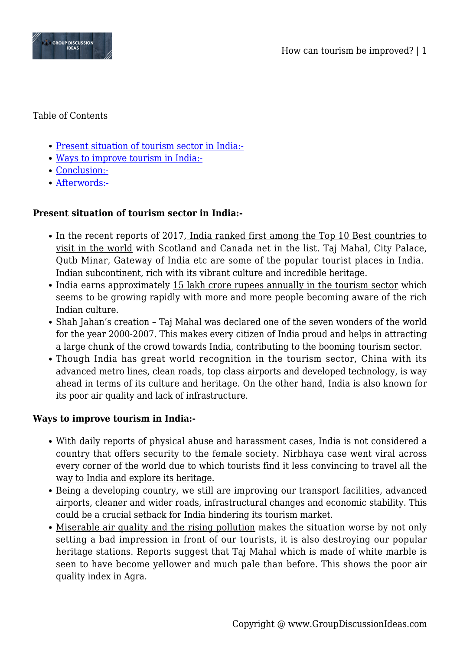

#### Table of Contents

- [Present situation of tourism sector in India:-](#page--1-0)
- [Ways to improve tourism in India:-](#page--1-0)
- [Conclusion:-](#page--1-0)
- [Afterwords:-](#page--1-0)

# **Present situation of tourism sector in India:-**

- In the recent reports of 2017, India ranked first among the Top 10 Best countries to visit in the world with Scotland and Canada net in the list. Taj Mahal, City Palace, Qutb Minar, Gateway of India etc are some of the popular tourist places in India. Indian subcontinent, rich with its vibrant culture and incredible heritage.
- India earns approximately 15 lakh crore rupees annually in the tourism sector which seems to be growing rapidly with more and more people becoming aware of the rich Indian culture.
- Shah Jahan's creation Taj Mahal was declared one of the seven wonders of the world for the year 2000-2007. This makes every citizen of India proud and helps in attracting a large chunk of the crowd towards India, contributing to the booming tourism sector.
- Though India has great world recognition in the tourism sector, China with its advanced metro lines, clean roads, top class airports and developed technology, is way ahead in terms of its culture and heritage. On the other hand, India is also known for its poor air quality and lack of infrastructure.

## **Ways to improve tourism in India:-**

- With daily reports of physical abuse and harassment cases, India is not considered a country that offers security to the female society. Nirbhaya case went viral across every corner of the world due to which tourists find it less convincing to travel all the way to India and explore its heritage.
- Being a developing country, we still are improving our transport facilities, advanced airports, cleaner and wider roads, infrastructural changes and economic stability. This could be a crucial setback for India hindering its tourism market.
- Miserable air quality and the rising pollution makes the situation worse by not only setting a bad impression in front of our tourists, it is also destroying our popular heritage stations. Reports suggest that Taj Mahal which is made of white marble is seen to have become yellower and much pale than before. This shows the poor air quality index in Agra.